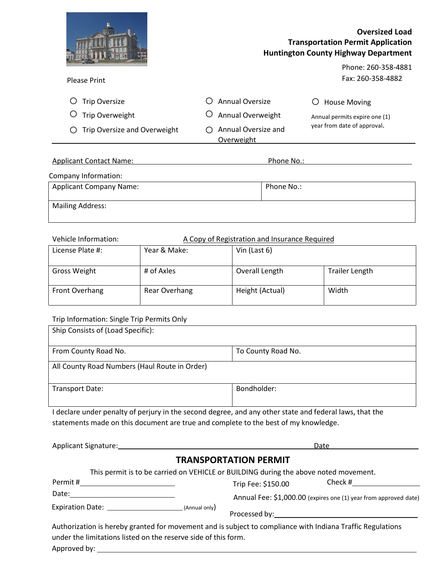

# **Oversized Load Transportation Permit Application Huntington County Highway Department**

Phone: 260-358-4881 Fax: 260-358-4882

| <b>Please Print</b> |  |
|---------------------|--|
|---------------------|--|

O Trip Oversize O Trip Overweight

| O Annual Oversize |
|-------------------|
|                   |

- O Annual Overweight
- Trip Oversize and Overweight o o Annual Oversize and Overweight

 $O$  House Moving

Annual permits expire one (1) year from date of approval.

| <b>Applicant Contact Name:</b> | Phone No.: |
|--------------------------------|------------|
| Company Information:           |            |
| <b>Applicant Company Name:</b> | Phone No.: |
| <b>Mailing Address:</b>        |            |

## Vehicle Information: A Copy of Registration and Insurance Required

| License Plate #:    | Year & Make:  | Vin (Last $6$ ) |                       |
|---------------------|---------------|-----------------|-----------------------|
| <b>Gross Weight</b> | # of Axles    | Overall Length  | <b>Trailer Length</b> |
| Front Overhang      | Rear Overhang | Height (Actual) | Width                 |

### Trip Information: Single Trip Permits Only

| Ship Consists of (Load Specific):             |                    |
|-----------------------------------------------|--------------------|
| From County Road No.                          | To County Road No. |
| All County Road Numbers (Haul Route in Order) |                    |
| Transport Date:                               | Bondholder:        |
|                                               |                    |

I declare under penalty of perjury in the second degree, and any other state and federal laws, that the statements made on this document are true and complete to the best of my knowledge.

|                                                                | Date                                                                                                       |
|----------------------------------------------------------------|------------------------------------------------------------------------------------------------------------|
|                                                                | <b>TRANSPORTATION PERMIT</b>                                                                               |
|                                                                | This permit is to be carried on VEHICLE or BUILDING during the above noted movement.                       |
|                                                                | Check #<br>Trip Fee: \$150.00                                                                              |
| Date: <u>_____________________</u>                             | Annual Fee: \$1,000.00 (expires one (1) year from approved date)                                           |
| Expiration Date: (Annual only)                                 |                                                                                                            |
| under the limitations listed on the reserve side of this form. | Authorization is hereby granted for movement and is subject to compliance with Indiana Traffic Regulations |

Approved by: